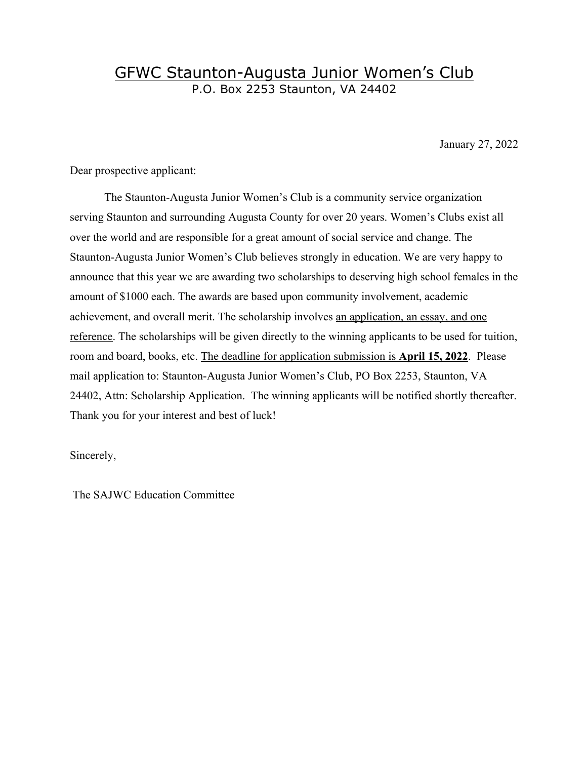### GFWC Staunton-Augusta Junior Women's Club P.O. Box 2253 Staunton, VA 24402

January 27, 2022

Dear prospective applicant:

The Staunton-Augusta Junior Women's Club is a community service organization serving Staunton and surrounding Augusta County for over 20 years. Women's Clubs exist all over the world and are responsible for a great amount of social service and change. The Staunton-Augusta Junior Women's Club believes strongly in education. We are very happy to announce that this year we are awarding two scholarships to deserving high school females in the amount of \$1000 each. The awards are based upon community involvement, academic achievement, and overall merit. The scholarship involves an application, an essay, and one reference. The scholarships will be given directly to the winning applicants to be used for tuition, room and board, books, etc. The deadline for application submission is **April 15, 2022**. Please mail application to: Staunton-Augusta Junior Women's Club, PO Box 2253, Staunton, VA 24402, Attn: Scholarship Application. The winning applicants will be notified shortly thereafter. Thank you for your interest and best of luck!

Sincerely,

The SAJWC Education Committee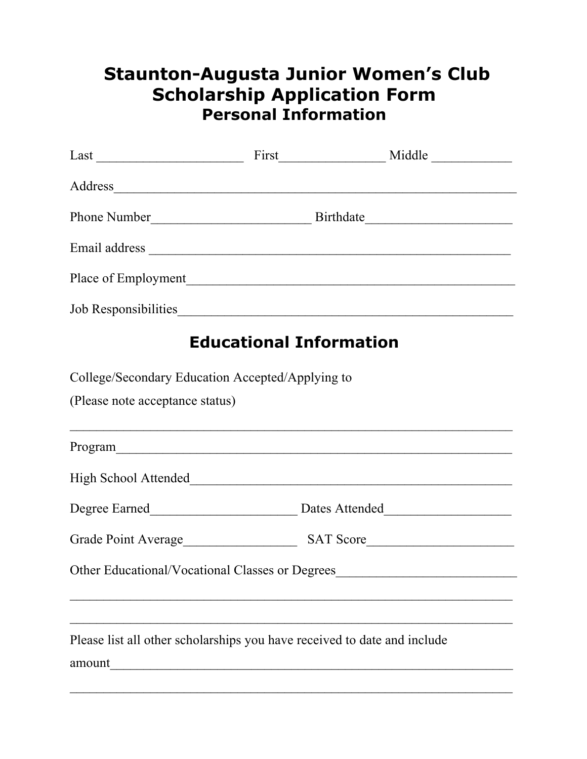# **Staunton-Augusta Junior Women's Club Scholarship Application Form Personal Information**

|                                                                          |                                | Place of Employment                    |  |
|--------------------------------------------------------------------------|--------------------------------|----------------------------------------|--|
|                                                                          |                                |                                        |  |
|                                                                          | <b>Educational Information</b> |                                        |  |
| College/Secondary Education Accepted/Applying to                         |                                |                                        |  |
| (Please note acceptance status)                                          |                                |                                        |  |
|                                                                          |                                |                                        |  |
|                                                                          |                                | High School Attended                   |  |
|                                                                          |                                | Degree Earned<br><u>Dates Attended</u> |  |
|                                                                          |                                |                                        |  |
| Other Educational/Vocational Classes or Degrees                          |                                |                                        |  |
|                                                                          |                                |                                        |  |
| Please list all other scholarships you have received to date and include |                                |                                        |  |
| amount                                                                   |                                |                                        |  |